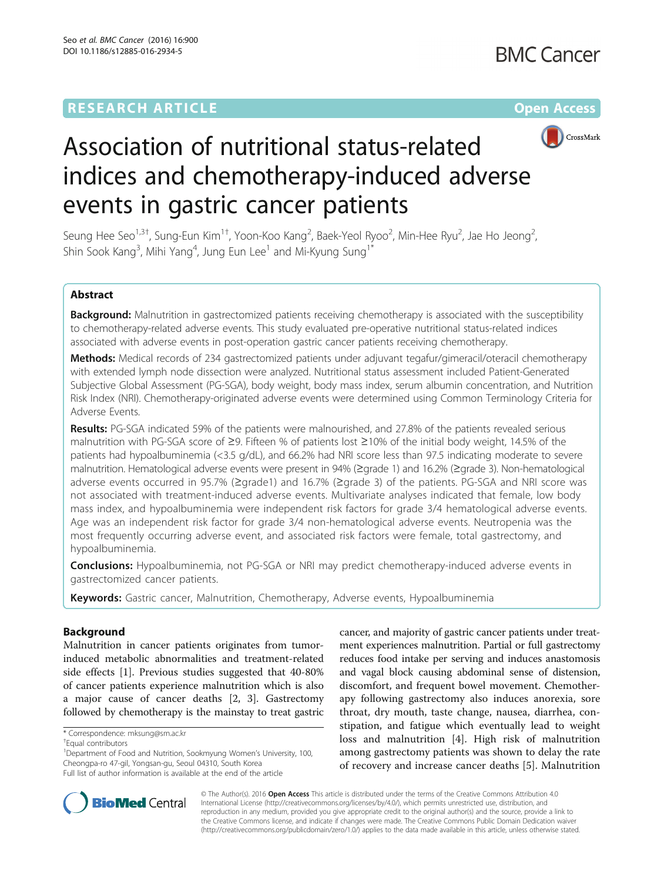# **RESEARCH ARTICLE External Structure Community Community Community Community Community Community Community Community**



# Association of nutritional status-related indices and chemotherapy-induced adverse events in gastric cancer patients

Seung Hee Seo<sup>1,3†</sup>, Sung-Eun Kim<sup>1†</sup>, Yoon-Koo Kang<sup>2</sup>, Baek-Yeol Ryoo<sup>2</sup>, Min-Hee Ryu<sup>2</sup>, Jae Ho Jeong<sup>2</sup> , Shin Sook Kang $^3$ , Mihi Yang $^4$ , Jung Eun Lee $^1$  and Mi-Kyung Sung $1^\ast$ 

### Abstract

Background: Malnutrition in gastrectomized patients receiving chemotherapy is associated with the susceptibility to chemotherapy-related adverse events. This study evaluated pre-operative nutritional status-related indices associated with adverse events in post-operation gastric cancer patients receiving chemotherapy.

Methods: Medical records of 234 gastrectomized patients under adjuvant tegafur/gimeracil/oteracil chemotherapy with extended lymph node dissection were analyzed. Nutritional status assessment included Patient-Generated Subjective Global Assessment (PG-SGA), body weight, body mass index, serum albumin concentration, and Nutrition Risk Index (NRI). Chemotherapy-originated adverse events were determined using Common Terminology Criteria for Adverse Events.

Results: PG-SGA indicated 59% of the patients were malnourished, and 27.8% of the patients revealed serious malnutrition with PG-SGA score of ≥9. Fifteen % of patients lost ≥10% of the initial body weight, 14.5% of the patients had hypoalbuminemia (<3.5 g/dL), and 66.2% had NRI score less than 97.5 indicating moderate to severe malnutrition. Hematological adverse events were present in 94% (≥grade 1) and 16.2% (≥grade 3). Non-hematological adverse events occurred in 95.7% (≥grade1) and 16.7% (≥grade 3) of the patients. PG-SGA and NRI score was not associated with treatment-induced adverse events. Multivariate analyses indicated that female, low body mass index, and hypoalbuminemia were independent risk factors for grade 3/4 hematological adverse events. Age was an independent risk factor for grade 3/4 non-hematological adverse events. Neutropenia was the most frequently occurring adverse event, and associated risk factors were female, total gastrectomy, and hypoalbuminemia.

**Conclusions:** Hypoalbuminemia, not PG-SGA or NRI may predict chemotherapy-induced adverse events in gastrectomized cancer patients.

Keywords: Gastric cancer, Malnutrition, Chemotherapy, Adverse events, Hypoalbuminemia

#### Background

Malnutrition in cancer patients originates from tumorinduced metabolic abnormalities and treatment-related side effects [\[1](#page-7-0)]. Previous studies suggested that 40-80% of cancer patients experience malnutrition which is also a major cause of cancer deaths [[2, 3\]](#page-7-0). Gastrectomy followed by chemotherapy is the mainstay to treat gastric



© The Author(s). 2016 Open Access This article is distributed under the terms of the Creative Commons Attribution 4.0 International License [\(http://creativecommons.org/licenses/by/4.0/](http://creativecommons.org/licenses/by/4.0/)), which permits unrestricted use, distribution, and reproduction in any medium, provided you give appropriate credit to the original author(s) and the source, provide a link to the Creative Commons license, and indicate if changes were made. The Creative Commons Public Domain Dedication waiver [\(http://creativecommons.org/publicdomain/zero/1.0/](http://creativecommons.org/publicdomain/zero/1.0/)) applies to the data made available in this article, unless otherwise stated.

<sup>\*</sup> Correspondence: [mksung@sm.ac.kr](mailto:mksung@sm.ac.kr) †

Equal contributors

<sup>&</sup>lt;sup>1</sup>Department of Food and Nutrition, Sookmyung Women's University, 100, Cheongpa-ro 47-gil, Yongsan-gu, Seoul 04310, South Korea Full list of author information is available at the end of the article

cancer, and majority of gastric cancer patients under treatment experiences malnutrition. Partial or full gastrectomy reduces food intake per serving and induces anastomosis and vagal block causing abdominal sense of distension, discomfort, and frequent bowel movement. Chemotherapy following gastrectomy also induces anorexia, sore throat, dry mouth, taste change, nausea, diarrhea, constipation, and fatigue which eventually lead to weight loss and malnutrition [[4\]](#page-7-0). High risk of malnutrition among gastrectomy patients was shown to delay the rate of recovery and increase cancer deaths [\[5\]](#page-7-0). Malnutrition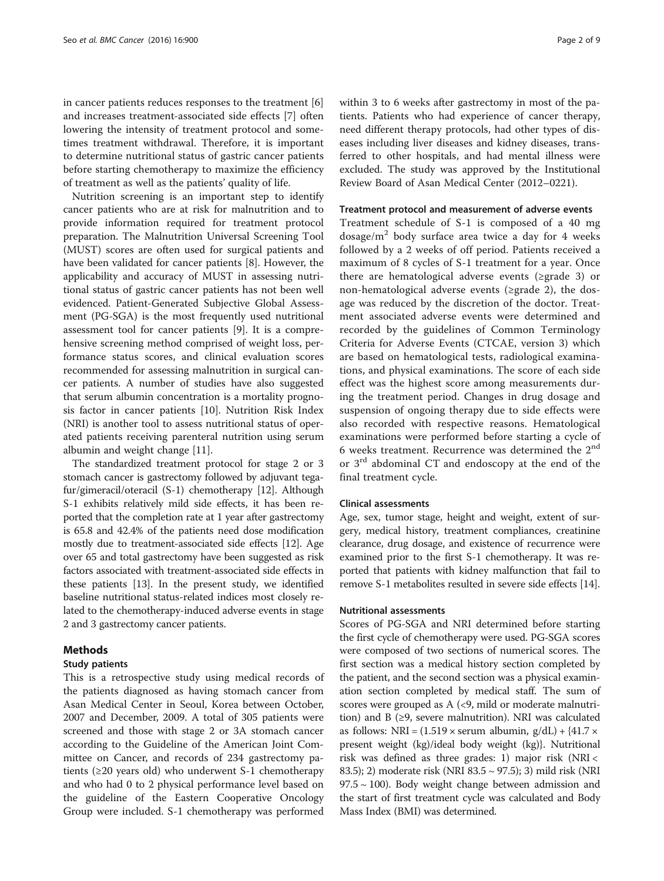in cancer patients reduces responses to the treatment [\[6](#page-7-0)] and increases treatment-associated side effects [[7\]](#page-7-0) often lowering the intensity of treatment protocol and sometimes treatment withdrawal. Therefore, it is important to determine nutritional status of gastric cancer patients before starting chemotherapy to maximize the efficiency of treatment as well as the patients' quality of life.

Nutrition screening is an important step to identify cancer patients who are at risk for malnutrition and to provide information required for treatment protocol preparation. The Malnutrition Universal Screening Tool (MUST) scores are often used for surgical patients and have been validated for cancer patients [\[8](#page-7-0)]. However, the applicability and accuracy of MUST in assessing nutritional status of gastric cancer patients has not been well evidenced. Patient-Generated Subjective Global Assessment (PG-SGA) is the most frequently used nutritional assessment tool for cancer patients [\[9](#page-7-0)]. It is a comprehensive screening method comprised of weight loss, performance status scores, and clinical evaluation scores recommended for assessing malnutrition in surgical cancer patients. A number of studies have also suggested that serum albumin concentration is a mortality prognosis factor in cancer patients [\[10\]](#page-7-0). Nutrition Risk Index (NRI) is another tool to assess nutritional status of operated patients receiving parenteral nutrition using serum albumin and weight change [[11\]](#page-7-0).

The standardized treatment protocol for stage 2 or 3 stomach cancer is gastrectomy followed by adjuvant tegafur/gimeracil/oteracil (S-1) chemotherapy [[12](#page-7-0)]. Although S-1 exhibits relatively mild side effects, it has been reported that the completion rate at 1 year after gastrectomy is 65.8 and 42.4% of the patients need dose modification mostly due to treatment-associated side effects [\[12\]](#page-7-0). Age over 65 and total gastrectomy have been suggested as risk factors associated with treatment-associated side effects in these patients [\[13\]](#page-7-0). In the present study, we identified baseline nutritional status-related indices most closely related to the chemotherapy-induced adverse events in stage 2 and 3 gastrectomy cancer patients.

#### Methods

#### Study patients

This is a retrospective study using medical records of the patients diagnosed as having stomach cancer from Asan Medical Center in Seoul, Korea between October, 2007 and December, 2009. A total of 305 patients were screened and those with stage 2 or 3A stomach cancer according to the Guideline of the American Joint Committee on Cancer, and records of 234 gastrectomy patients (≥20 years old) who underwent S-1 chemotherapy and who had 0 to 2 physical performance level based on the guideline of the Eastern Cooperative Oncology Group were included. S-1 chemotherapy was performed within 3 to 6 weeks after gastrectomy in most of the patients. Patients who had experience of cancer therapy, need different therapy protocols, had other types of diseases including liver diseases and kidney diseases, transferred to other hospitals, and had mental illness were excluded. The study was approved by the Institutional Review Board of Asan Medical Center (2012–0221).

#### Treatment protocol and measurement of adverse events

Treatment schedule of S-1 is composed of a 40 mg dosage/ $m^2$  body surface area twice a day for 4 weeks followed by a 2 weeks of off period. Patients received a maximum of 8 cycles of S-1 treatment for a year. Once there are hematological adverse events (≥grade 3) or non-hematological adverse events (≥grade 2), the dosage was reduced by the discretion of the doctor. Treatment associated adverse events were determined and recorded by the guidelines of Common Terminology Criteria for Adverse Events (CTCAE, version 3) which are based on hematological tests, radiological examinations, and physical examinations. The score of each side effect was the highest score among measurements during the treatment period. Changes in drug dosage and suspension of ongoing therapy due to side effects were also recorded with respective reasons. Hematological examinations were performed before starting a cycle of 6 weeks treatment. Recurrence was determined the 2nd or 3<sup>rd</sup> abdominal CT and endoscopy at the end of the final treatment cycle.

#### Clinical assessments

Age, sex, tumor stage, height and weight, extent of surgery, medical history, treatment compliances, creatinine clearance, drug dosage, and existence of recurrence were examined prior to the first S-1 chemotherapy. It was reported that patients with kidney malfunction that fail to remove S-1 metabolites resulted in severe side effects [\[14](#page-7-0)].

#### Nutritional assessments

Scores of PG-SGA and NRI determined before starting the first cycle of chemotherapy were used. PG-SGA scores were composed of two sections of numerical scores. The first section was a medical history section completed by the patient, and the second section was a physical examination section completed by medical staff. The sum of scores were grouped as A (<9, mild or moderate malnutrition) and B  $(\geq)$ , severe malnutrition). NRI was calculated as follows: NRI =  $(1.519 \times \text{serum albumin}, g/dL) + (41.7 \times$ present weight (kg)/ideal body weight (kg)}. Nutritional risk was defined as three grades: 1) major risk (NRI < 83.5); 2) moderate risk (NRI 83.5 ~ 97.5); 3) mild risk (NRI  $97.5 \sim 100$ ). Body weight change between admission and the start of first treatment cycle was calculated and Body Mass Index (BMI) was determined.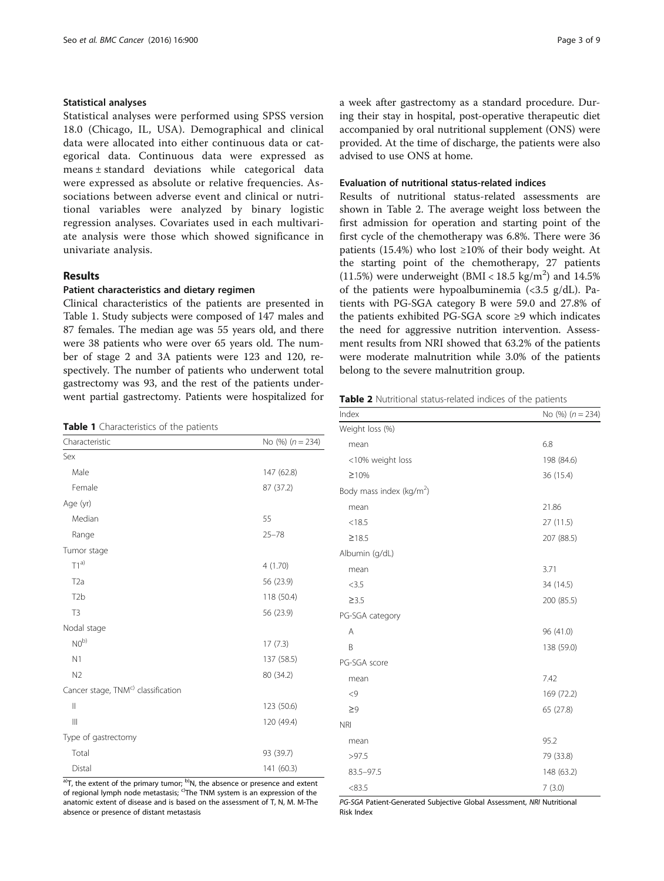#### Statistical analyses

Statistical analyses were performed using SPSS version 18.0 (Chicago, IL, USA). Demographical and clinical data were allocated into either continuous data or categorical data. Continuous data were expressed as means ± standard deviations while categorical data were expressed as absolute or relative frequencies. Associations between adverse event and clinical or nutritional variables were analyzed by binary logistic regression analyses. Covariates used in each multivariate analysis were those which showed significance in univariate analysis.

#### Results

#### Patient characteristics and dietary regimen

Clinical characteristics of the patients are presented in Table 1. Study subjects were composed of 147 males and 87 females. The median age was 55 years old, and there were 38 patients who were over 65 years old. The number of stage 2 and 3A patients were 123 and 120, respectively. The number of patients who underwent total gastrectomy was 93, and the rest of the patients underwent partial gastrectomy. Patients were hospitalized for

Table 1 Characteristics of the patients

| Characteristic                                 | No $(%) (n = 234)$ |
|------------------------------------------------|--------------------|
| Sex                                            |                    |
| Male                                           | 147 (62.8)         |
| Female                                         | 87 (37.2)          |
| Age (yr)                                       |                    |
| Median                                         | 55                 |
| Range                                          | $25 - 78$          |
| Tumor stage                                    |                    |
| $T1^{a}$                                       | 4(1.70)            |
| T <sub>2a</sub>                                | 56 (23.9)          |
| T <sub>2</sub> b                               | 118 (50.4)         |
| T <sub>3</sub>                                 | 56 (23.9)          |
| Nodal stage                                    |                    |
| NO <sub>p</sub>                                | 17(7.3)            |
| N1                                             | 137 (58.5)         |
| N <sub>2</sub>                                 | 80 (34.2)          |
| Cancer stage, TNM <sup>c)</sup> classification |                    |
| $\mathbf{  }$                                  | 123 (50.6)         |
| $\mathbb{H}$                                   | 120 (49.4)         |
| Type of gastrectomy                            |                    |
| Total                                          | 93 (39.7)          |
| Distal                                         | 141 (60.3)         |

 $a/T$ , the extent of the primary tumor;  $b/N$ , the absence or presence and extent of regional lymph node metastasis; <sup>c)</sup>The TNM system is an expression of the anatomic extent of disease and is based on the assessment of T, N, M. M-The absence or presence of distant metastasis

a week after gastrectomy as a standard procedure. During their stay in hospital, post-operative therapeutic diet accompanied by oral nutritional supplement (ONS) were provided. At the time of discharge, the patients were also advised to use ONS at home.

#### Evaluation of nutritional status-related indices

Results of nutritional status-related assessments are shown in Table 2. The average weight loss between the first admission for operation and starting point of the first cycle of the chemotherapy was 6.8%. There were 36 patients (15.4%) who lost ≥10% of their body weight. At the starting point of the chemotherapy, 27 patients (11.5%) were underweight (BMI <  $18.5 \text{ kg/m}^2$ ) and 14.5% of the patients were hypoalbuminemia  $\langle$ <3.5 g/dL). Patients with PG-SGA category B were 59.0 and 27.8% of the patients exhibited PG-SGA score ≥9 which indicates the need for aggressive nutrition intervention. Assessment results from NRI showed that 63.2% of the patients were moderate malnutrition while 3.0% of the patients belong to the severe malnutrition group.

| Table 2 Nutritional status-related indices of the patients |  |  |  |  |
|------------------------------------------------------------|--|--|--|--|
|------------------------------------------------------------|--|--|--|--|

| Index                                | No (%) $(n = 234)$ |
|--------------------------------------|--------------------|
| Weight loss (%)                      |                    |
| mean                                 | 6.8                |
| <10% weight loss                     | 198 (84.6)         |
| ≥10%                                 | 36 (15.4)          |
| Body mass index (kg/m <sup>2</sup> ) |                    |
| mean                                 | 21.86              |
| < 18.5                               | 27 (11.5)          |
| ≥18.5                                | 207 (88.5)         |
| Albumin (g/dL)                       |                    |
| mean                                 | 3.71               |
| < 3.5                                | 34 (14.5)          |
| $\geq$ 3.5                           | 200 (85.5)         |
| PG-SGA category                      |                    |
| A                                    | 96 (41.0)          |
| B                                    | 138 (59.0)         |
| PG-SGA score                         |                    |
| mean                                 | 7.42               |
| < 9                                  | 169 (72.2)         |
| $\geq$ 9                             | 65 (27.8)          |
| <b>NRI</b>                           |                    |
| mean                                 | 95.2               |
| >97.5                                | 79 (33.8)          |
| 83.5-97.5                            | 148 (63.2)         |
| < 83.5                               | 7(3.0)             |

PG-SGA Patient-Generated Subjective Global Assessment, NRI Nutritional Risk Index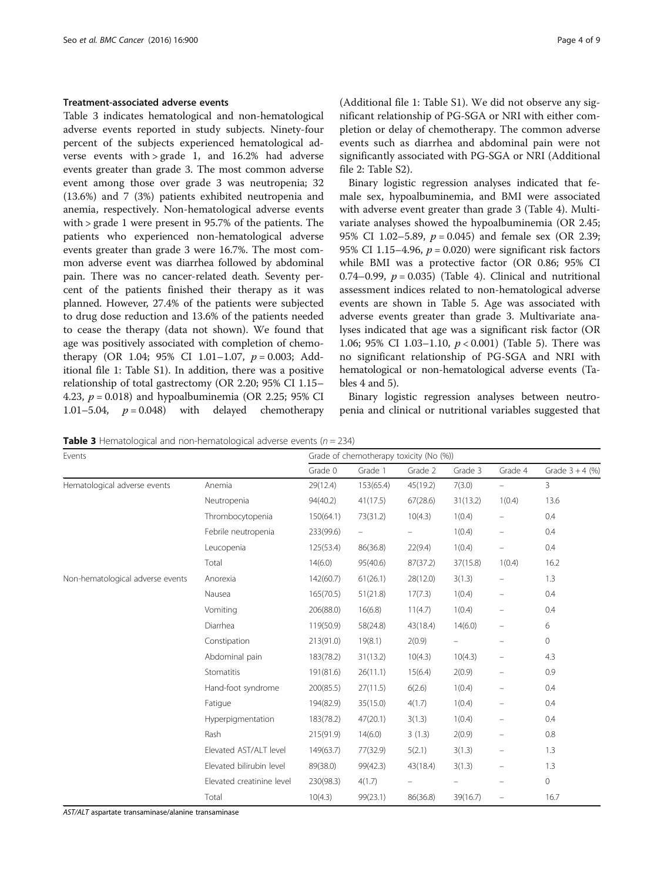#### Treatment-associated adverse events

Table 3 indicates hematological and non-hematological adverse events reported in study subjects. Ninety-four percent of the subjects experienced hematological adverse events with > grade 1, and 16.2% had adverse events greater than grade 3. The most common adverse event among those over grade 3 was neutropenia; 32 (13.6%) and 7 (3%) patients exhibited neutropenia and anemia, respectively. Non-hematological adverse events with > grade 1 were present in 95.7% of the patients. The patients who experienced non-hematological adverse events greater than grade 3 were 16.7%. The most common adverse event was diarrhea followed by abdominal pain. There was no cancer-related death. Seventy percent of the patients finished their therapy as it was planned. However, 27.4% of the patients were subjected to drug dose reduction and 13.6% of the patients needed to cease the therapy (data not shown). We found that age was positively associated with completion of chemotherapy (OR 1.04; 95% CI 1.01-1.07,  $p = 0.003$ ; Additional file [1:](#page-6-0) Table S1). In addition, there was a positive relationship of total gastrectomy (OR 2.20; 95% CI 1.15– 4.23,  $p = 0.018$ ) and hypoalbuminemia (OR 2.25; 95% CI 1.01–5.04,  $p = 0.048$ ) with delayed chemotherapy

(Additional file [1:](#page-6-0) Table S1). We did not observe any significant relationship of PG-SGA or NRI with either completion or delay of chemotherapy. The common adverse events such as diarrhea and abdominal pain were not significantly associated with PG-SGA or NRI (Additional file [2:](#page-6-0) Table S2).

Binary logistic regression analyses indicated that female sex, hypoalbuminemia, and BMI were associated with adverse event greater than grade 3 (Table [4\)](#page-4-0). Multivariate analyses showed the hypoalbuminemia (OR 2.45; 95% CI 1.02–5.89,  $p = 0.045$ ) and female sex (OR 2.39; 95% CI 1.15–4.96,  $p = 0.020$ ) were significant risk factors while BMI was a protective factor (OR 0.86; 95% CI 0.74–0.99,  $p = 0.035$ ) (Table [4](#page-4-0)). Clinical and nutritional assessment indices related to non-hematological adverse events are shown in Table [5.](#page-4-0) Age was associated with adverse events greater than grade 3. Multivariate analyses indicated that age was a significant risk factor (OR 1.06; 95% CI 1.03–1.10,  $p < 0.001$ ) (Table [5\)](#page-4-0). There was no significant relationship of PG-SGA and NRI with hematological or non-hematological adverse events (Tables [4](#page-4-0) and [5\)](#page-4-0).

Binary logistic regression analyses between neutropenia and clinical or nutritional variables suggested that

**Table 3** Hematological and non-hematological adverse events ( $n = 234$ )

Events Grade of chemotherapy toxicity (No (%)) Grade 0 Grade 1 Grade 2 Grade 3 Grade 4 Grade  $3 + 4$  (%) Hematological adverse events Anemia 29(12.4) 153(65.4) 45(19.2) 7(3.0) – 3 Neutropenia 94(40.2) 41(17.5) 67(28.6) 31(13.2) 1(0.4) 13.6 Thrombocytopenia 150(64.1) 73(31.2) 10(4.3) 1(0.4) – 0.4 Febrile neutropenia 233(99.6) – – 1(0.4) – 0.4 Leucopenia 125(53.4) 86(36.8) 22(9.4) 1(0.4) – 0.4 Total 14(6.0) 95(40.6) 87(37.2) 37(15.8) 1(0.4) 16.2 Non-hematological adverse events Anorexia 142(60.7) 61(26.1) 28(12.0) 3(1.3) – 1.3 Nausea 165(70.5) 51(21.8) 17(7.3) 1(0.4) – 0.4 Vomiting 206(88.0) 16(6.8) 11(4.7) 1(0.4) – 0.4 Diarrhea 119(50.9) 58(24.8) 43(18.4) 14(6.0) – 6 Constipation 213(91.0) 19(8.1) 2(0.9) – – 0 Abdominal pain 183(78.2) 31(13.2) 10(4.3) 10(4.3) – 4.3 Stomatitis 191(81.6) 26(11.1) 15(6.4) 2(0.9) – 0.9 Hand-foot syndrome 200(85.5) 27(11.5) 6(2.6) 1(0.4) – 0.4 Fatigue 194(82.9) 35(15.0) 4(1.7) 1(0.4) – 0.4 Hyperpigmentation 183(78.2) 47(20.1) 3(1.3) 1(0.4) – 0.4 Rash 215(91.9) 14(6.0) 3 (1.3) 2(0.9) – 0.8 Elevated AST/ALT level  $149(63.7)$   $77(32.9)$   $5(2.1)$   $3(1.3)$  - 1.3 Elevated bilirubin level 89(38.0) 99(42.3) 43(18.4) 3(1.3) – 1.3 Elevated creatinine level  $230(98.3)$   $4(1.7)$   $0$ Total 10(4.3) 99(23.1) 86(36.8) 39(16.7) – 16.7

AST/ALT aspartate transaminase/alanine transaminase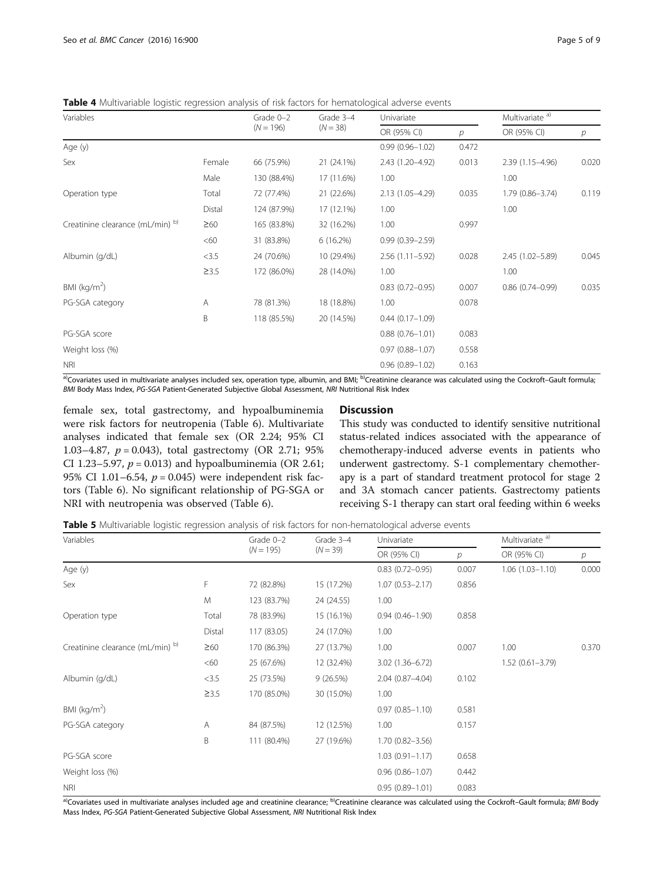<span id="page-4-0"></span>Table 4 Multivariable logistic regression analysis of risk factors for hematological adverse events

| Variables                        |            | Grade 0-2<br>$(N = 196)$ | Grade 3-4<br>$(N = 38)$ | Univariate             |       | Multivariate <sup>a)</sup> |       |
|----------------------------------|------------|--------------------------|-------------------------|------------------------|-------|----------------------------|-------|
|                                  |            |                          |                         | OR (95% CI)            | D     | OR (95% CI)                | р     |
| Age (y)                          |            |                          |                         | $0.99(0.96 - 1.02)$    | 0.472 |                            |       |
| Sex                              | Female     | 66 (75.9%)               | 21 (24.1%)              | 2.43 (1.20-4.92)       | 0.013 | 2.39 (1.15-4.96)           | 0.020 |
|                                  | Male       | 130 (88.4%)              | 17 (11.6%)              | 1.00                   |       | 1.00                       |       |
| Operation type                   | Total      | 72 (77.4%)               | 21 (22.6%)              | 2.13 (1.05-4.29)       | 0.035 | 1.79 (0.86-3.74)           | 0.119 |
|                                  | Distal     | 124 (87.9%)              | 17 (12.1%)              | 1.00                   |       | 1.00                       |       |
| Creatinine clearance (mL/min) b) | $\geq 60$  | 165 (83.8%)              | 32 (16.2%)              | 1.00                   | 0.997 |                            |       |
|                                  | <60        | 31 (83.8%)               | $6(16.2\%)$             | $0.99(0.39 - 2.59)$    |       |                            |       |
| Albumin (q/dL)                   | <3.5       | 24 (70.6%)               | 10 (29.4%)              | $2.56(1.11 - 5.92)$    | 0.028 | 2.45 (1.02-5.89)           | 0.045 |
|                                  | $\geq$ 3.5 | 172 (86.0%)              | 28 (14.0%)              | 1.00                   |       | 1.00                       |       |
| BMI ( $\text{kg/m}^2$ )          |            |                          |                         | $0.83$ $(0.72 - 0.95)$ | 0.007 | $0.86$ $(0.74 - 0.99)$     | 0.035 |
| PG-SGA category                  | A          | 78 (81.3%)               | 18 (18.8%)              | 1.00                   | 0.078 |                            |       |
|                                  | B          | 118 (85.5%)              | 20 (14.5%)              | $0.44(0.17-1.09)$      |       |                            |       |
| PG-SGA score                     |            |                          |                         | $0.88(0.76 - 1.01)$    | 0.083 |                            |       |
| Weight loss (%)                  |            |                          |                         | $0.97(0.88 - 1.07)$    | 0.558 |                            |       |
| <b>NRI</b>                       |            |                          |                         | $0.96(0.89 - 1.02)$    | 0.163 |                            |       |

a)Covariates used in multivariate analyses included sex, operation type, albumin, and BMI; <sup>b)</sup>Creatinine clearance was calculated using the Cockroft-Gault formula; BMI Body Mass Index, PG-SGA Patient-Generated Subjective Global Assessment, NRI Nutritional Risk Index

female sex, total gastrectomy, and hypoalbuminemia were risk factors for neutropenia (Table [6\)](#page-5-0). Multivariate analyses indicated that female sex (OR 2.24; 95% CI 1.03–4.87,  $p = 0.043$ ), total gastrectomy (OR 2.71; 95%) CI 1.23–5.97,  $p = 0.013$ ) and hypoalbuminemia (OR 2.61; 95% CI 1.01–6.54,  $p = 0.045$ ) were independent risk factors (Table [6\)](#page-5-0). No significant relationship of PG-SGA or NRI with neutropenia was observed (Table [6](#page-5-0)).

#### **Discussion**

This study was conducted to identify sensitive nutritional status-related indices associated with the appearance of chemotherapy-induced adverse events in patients who underwent gastrectomy. S-1 complementary chemotherapy is a part of standard treatment protocol for stage 2 and 3A stomach cancer patients. Gastrectomy patients receiving S-1 therapy can start oral feeding within 6 weeks

**Table 5** Multivariable logistic regression analysis of risk factors for non-hematological adverse events

| Variables                        |            | Grade 0-2   | Grade 3-4<br>$(N = 39)$ | Univariate             |       | Multivariate <sup>a)</sup> |                |
|----------------------------------|------------|-------------|-------------------------|------------------------|-------|----------------------------|----------------|
|                                  |            | $(N = 195)$ |                         | OR (95% CI)            | р     | OR (95% CI)                | $\overline{p}$ |
| Age (y)                          |            |             |                         | $0.83$ $(0.72 - 0.95)$ | 0.007 | $1.06(1.03 - 1.10)$        | 0.000          |
| Sex                              | F          | 72 (82.8%)  | 15 (17.2%)              | $1.07(0.53 - 2.17)$    | 0.856 |                            |                |
|                                  | M          | 123 (83.7%) | 24 (24.55)              | 1.00                   |       |                            |                |
| Operation type                   | Total      | 78 (83.9%)  | 15 (16.1%)              | $0.94(0.46 - 1.90)$    | 0.858 |                            |                |
|                                  | Distal     | 117 (83.05) | 24 (17.0%)              | 1.00                   |       |                            |                |
| Creatinine clearance (mL/min) b) | $\geq 60$  | 170 (86.3%) | 27 (13.7%)              | 1.00                   | 0.007 | 1.00                       | 0.370          |
|                                  | <60        | 25 (67.6%)  | 12 (32.4%)              | $3.02(1.36 - 6.72)$    |       | $1.52(0.61 - 3.79)$        |                |
| Albumin (q/dL)                   | < 3.5      | 25 (73.5%)  | 9(26.5%)                | 2.04 (0.87-4.04)       | 0.102 |                            |                |
|                                  | $\geq$ 3.5 | 170 (85.0%) | 30 (15.0%)              | 1.00                   |       |                            |                |
| BMI ( $kg/m2$ )                  |            |             |                         | $0.97(0.85 - 1.10)$    | 0.581 |                            |                |
| PG-SGA category                  | Α          | 84 (87.5%)  | 12 (12.5%)              | 1.00                   | 0.157 |                            |                |
|                                  | B          | 111 (80.4%) | 27 (19.6%)              | $1.70(0.82 - 3.56)$    |       |                            |                |
| PG-SGA score                     |            |             |                         | $1.03(0.91 - 1.17)$    | 0.658 |                            |                |
| Weight loss (%)                  |            |             |                         | $0.96(0.86 - 1.07)$    | 0.442 |                            |                |
| <b>NRI</b>                       |            |             |                         | $0.95(0.89 - 1.01)$    | 0.083 |                            |                |

a)Covariates used in multivariate analyses included age and creatinine clearance; <sup>b)</sup>Creatinine clearance was calculated using the Cockroft–Gault formula; BMI Body Mass Index, PG-SGA Patient-Generated Subjective Global Assessment, NRI Nutritional Risk Index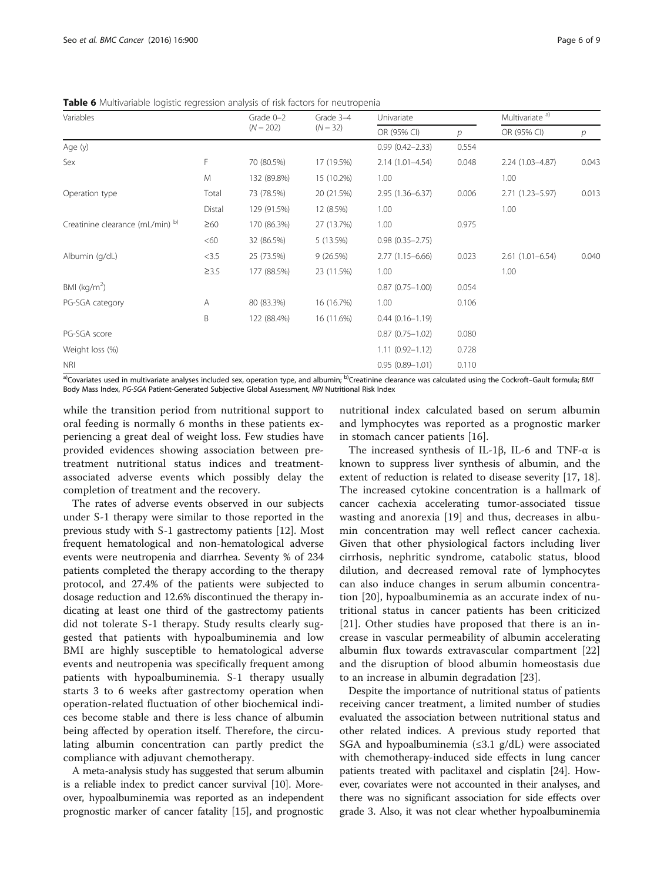<span id="page-5-0"></span>Table 6 Multivariable logistic regression analysis of risk factors for neutropenia

| Variables                        |            | Grade 0-2   | Grade 3-4<br>$(N = 32)$ | Univariate          |       | Multivariate <sup>a)</sup> |       |
|----------------------------------|------------|-------------|-------------------------|---------------------|-------|----------------------------|-------|
|                                  |            | $(N = 202)$ |                         | OR (95% CI)         | D     | OR (95% CI)                | р     |
| Age (y)                          |            |             |                         | $0.99(0.42 - 2.33)$ | 0.554 |                            |       |
| Sex                              | F          | 70 (80.5%)  | 17 (19.5%)              | $2.14(1.01 - 4.54)$ | 0.048 | $2.24(1.03 - 4.87)$        | 0.043 |
|                                  | M          | 132 (89.8%) | 15 (10.2%)              | 1.00                |       | 1.00                       |       |
| Operation type                   | Total      | 73 (78.5%)  | 20 (21.5%)              | 2.95 (1.36-6.37)    | 0.006 | $2.71(1.23 - 5.97)$        | 0.013 |
|                                  | Distal     | 129 (91.5%) | 12 (8.5%)               | 1.00                |       | 1.00                       |       |
| Creatinine clearance (mL/min) b) | $\geq 60$  | 170 (86.3%) | 27 (13.7%)              | 1.00                | 0.975 |                            |       |
|                                  | <60        | 32 (86.5%)  | 5(13.5%)                | $0.98(0.35 - 2.75)$ |       |                            |       |
| Albumin (q/dL)                   | < 3.5      | 25 (73.5%)  | 9(26.5%)                | $2.77(1.15 - 6.66)$ | 0.023 | $2.61(1.01-6.54)$          | 0.040 |
|                                  | $\geq$ 3.5 | 177 (88.5%) | 23 (11.5%)              | 1.00                |       | 1.00                       |       |
| BMI ( $kg/m2$ )                  |            |             |                         | $0.87(0.75 - 1.00)$ | 0.054 |                            |       |
| PG-SGA category                  | Α          | 80 (83.3%)  | 16 (16.7%)              | 1.00                | 0.106 |                            |       |
|                                  | Β          | 122 (88.4%) | 16 (11.6%)              | $0.44(0.16 - 1.19)$ |       |                            |       |
| PG-SGA score                     |            |             |                         | $0.87(0.75 - 1.02)$ | 0.080 |                            |       |
| Weight loss (%)                  |            |             |                         | $1.11(0.92 - 1.12)$ | 0.728 |                            |       |
| <b>NRI</b>                       |            |             |                         | $0.95(0.89 - 1.01)$ | 0.110 |                            |       |

a)Covariates used in multivariate analyses included sex, operation type, and albumin; <sup>b)</sup>Creatinine clearance was calculated using the Cockroft–Gault formula; BMI Body Mass Index, PG-SGA Patient-Generated Subjective Global Assessment, NRI Nutritional Risk Index

while the transition period from nutritional support to oral feeding is normally 6 months in these patients experiencing a great deal of weight loss. Few studies have provided evidences showing association between pretreatment nutritional status indices and treatmentassociated adverse events which possibly delay the completion of treatment and the recovery.

The rates of adverse events observed in our subjects under S-1 therapy were similar to those reported in the previous study with S-1 gastrectomy patients [[12\]](#page-7-0). Most frequent hematological and non-hematological adverse events were neutropenia and diarrhea. Seventy % of 234 patients completed the therapy according to the therapy protocol, and 27.4% of the patients were subjected to dosage reduction and 12.6% discontinued the therapy indicating at least one third of the gastrectomy patients did not tolerate S-1 therapy. Study results clearly suggested that patients with hypoalbuminemia and low BMI are highly susceptible to hematological adverse events and neutropenia was specifically frequent among patients with hypoalbuminemia. S-1 therapy usually starts 3 to 6 weeks after gastrectomy operation when operation-related fluctuation of other biochemical indices become stable and there is less chance of albumin being affected by operation itself. Therefore, the circulating albumin concentration can partly predict the compliance with adjuvant chemotherapy.

A meta-analysis study has suggested that serum albumin is a reliable index to predict cancer survival [\[10\]](#page-7-0). Moreover, hypoalbuminemia was reported as an independent prognostic marker of cancer fatality [[15\]](#page-7-0), and prognostic

nutritional index calculated based on serum albumin and lymphocytes was reported as a prognostic marker in stomach cancer patients [[16](#page-7-0)].

The increased synthesis of IL-1β, IL-6 and TNF-α is known to suppress liver synthesis of albumin, and the extent of reduction is related to disease severity [\[17](#page-7-0), [18](#page-7-0)]. The increased cytokine concentration is a hallmark of cancer cachexia accelerating tumor-associated tissue wasting and anorexia [[19\]](#page-7-0) and thus, decreases in albumin concentration may well reflect cancer cachexia. Given that other physiological factors including liver cirrhosis, nephritic syndrome, catabolic status, blood dilution, and decreased removal rate of lymphocytes can also induce changes in serum albumin concentration [[20\]](#page-7-0), hypoalbuminemia as an accurate index of nutritional status in cancer patients has been criticized [[21\]](#page-7-0). Other studies have proposed that there is an increase in vascular permeability of albumin accelerating albumin flux towards extravascular compartment [\[22](#page-7-0)] and the disruption of blood albumin homeostasis due to an increase in albumin degradation [[23\]](#page-7-0).

Despite the importance of nutritional status of patients receiving cancer treatment, a limited number of studies evaluated the association between nutritional status and other related indices. A previous study reported that SGA and hypoalbuminemia  $(\leq 3.1 \text{ g/dL})$  were associated with chemotherapy-induced side effects in lung cancer patients treated with paclitaxel and cisplatin [[24](#page-7-0)]. However, covariates were not accounted in their analyses, and there was no significant association for side effects over grade 3. Also, it was not clear whether hypoalbuminemia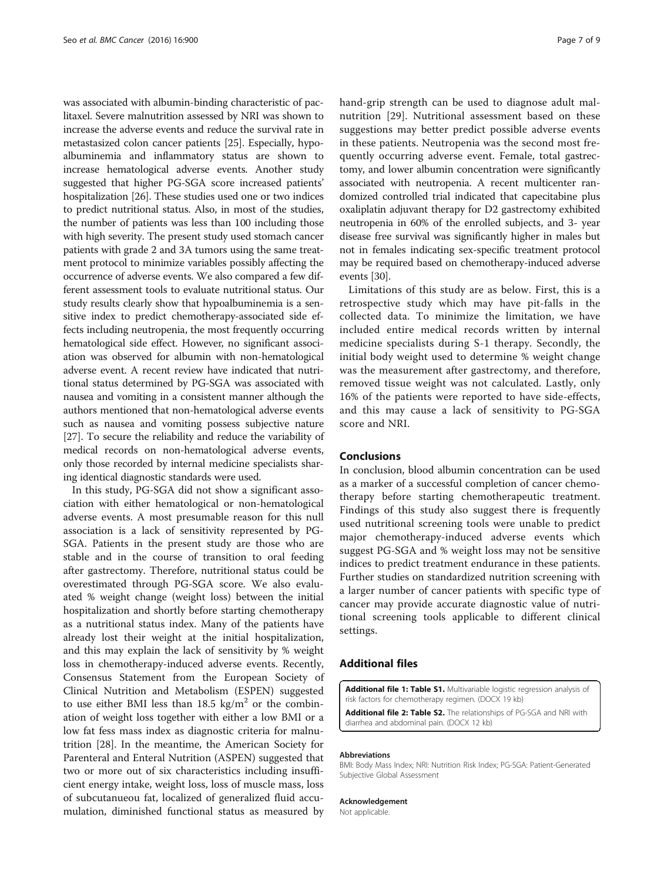<span id="page-6-0"></span>was associated with albumin-binding characteristic of paclitaxel. Severe malnutrition assessed by NRI was shown to increase the adverse events and reduce the survival rate in metastasized colon cancer patients [\[25](#page-7-0)]. Especially, hypoalbuminemia and inflammatory status are shown to increase hematological adverse events. Another study suggested that higher PG-SGA score increased patients' hospitalization [[26\]](#page-7-0). These studies used one or two indices to predict nutritional status. Also, in most of the studies, the number of patients was less than 100 including those with high severity. The present study used stomach cancer patients with grade 2 and 3A tumors using the same treatment protocol to minimize variables possibly affecting the occurrence of adverse events. We also compared a few different assessment tools to evaluate nutritional status. Our study results clearly show that hypoalbuminemia is a sensitive index to predict chemotherapy-associated side effects including neutropenia, the most frequently occurring hematological side effect. However, no significant association was observed for albumin with non-hematological adverse event. A recent review have indicated that nutritional status determined by PG-SGA was associated with nausea and vomiting in a consistent manner although the authors mentioned that non-hematological adverse events such as nausea and vomiting possess subjective nature [[27](#page-7-0)]. To secure the reliability and reduce the variability of medical records on non-hematological adverse events, only those recorded by internal medicine specialists sharing identical diagnostic standards were used.

In this study, PG-SGA did not show a significant association with either hematological or non-hematological adverse events. A most presumable reason for this null association is a lack of sensitivity represented by PG-SGA. Patients in the present study are those who are stable and in the course of transition to oral feeding after gastrectomy. Therefore, nutritional status could be overestimated through PG-SGA score. We also evaluated % weight change (weight loss) between the initial hospitalization and shortly before starting chemotherapy as a nutritional status index. Many of the patients have already lost their weight at the initial hospitalization, and this may explain the lack of sensitivity by % weight loss in chemotherapy-induced adverse events. Recently, Consensus Statement from the European Society of Clinical Nutrition and Metabolism (ESPEN) suggested to use either BMI less than 18.5 kg/m<sup>2</sup> or the combination of weight loss together with either a low BMI or a low fat fess mass index as diagnostic criteria for malnutrition [[28](#page-7-0)]. In the meantime, the American Society for Parenteral and Enteral Nutrition (ASPEN) suggested that two or more out of six characteristics including insufficient energy intake, weight loss, loss of muscle mass, loss of subcutanueou fat, localized of generalized fluid accumulation, diminished functional status as measured by hand-grip strength can be used to diagnose adult malnutrition [\[29](#page-7-0)]. Nutritional assessment based on these suggestions may better predict possible adverse events in these patients. Neutropenia was the second most frequently occurring adverse event. Female, total gastrectomy, and lower albumin concentration were significantly associated with neutropenia. A recent multicenter randomized controlled trial indicated that capecitabine plus oxaliplatin adjuvant therapy for D2 gastrectomy exhibited neutropenia in 60% of the enrolled subjects, and 3- year disease free survival was significantly higher in males but not in females indicating sex-specific treatment protocol may be required based on chemotherapy-induced adverse events [[30](#page-8-0)].

Limitations of this study are as below. First, this is a retrospective study which may have pit-falls in the collected data. To minimize the limitation, we have included entire medical records written by internal medicine specialists during S-1 therapy. Secondly, the initial body weight used to determine % weight change was the measurement after gastrectomy, and therefore, removed tissue weight was not calculated. Lastly, only 16% of the patients were reported to have side-effects, and this may cause a lack of sensitivity to PG-SGA score and NRI.

#### Conclusions

In conclusion, blood albumin concentration can be used as a marker of a successful completion of cancer chemotherapy before starting chemotherapeutic treatment. Findings of this study also suggest there is frequently used nutritional screening tools were unable to predict major chemotherapy-induced adverse events which suggest PG-SGA and % weight loss may not be sensitive indices to predict treatment endurance in these patients. Further studies on standardized nutrition screening with a larger number of cancer patients with specific type of cancer may provide accurate diagnostic value of nutritional screening tools applicable to different clinical settings.

#### Additional files

diarrhea and abdominal pain. (DOCX 12 kb)

[Additional file 1: Table S1.](dx.doi.org/10.1186/s12885-016-2934-5) Multivariable logistic regression analysis of risk factors for chemotherapy regimen. (DOCX 19 kb) [Additional file 2: Table S2.](dx.doi.org/10.1186/s12885-016-2934-5) The relationships of PG-SGA and NRI with

#### Abbreviations

BMI: Body Mass Index; NRI: Nutrition Risk Index; PG-SGA: Patient-Generated Subjective Global Assessment

#### Acknowledgement

Not applicable.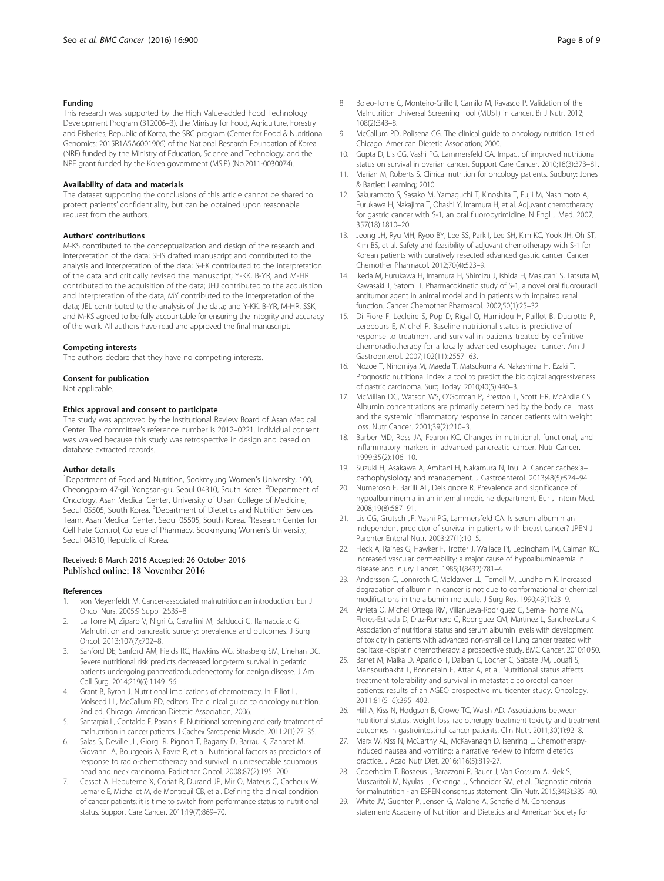#### <span id="page-7-0"></span>Funding

This research was supported by the High Value-added Food Technology Development Program (312006–3), the Ministry for Food, Agriculture, Forestry and Fisheries, Republic of Korea, the SRC program (Center for Food & Nutritional Genomics: 2015R1A5A6001906) of the National Research Foundation of Korea (NRF) funded by the Ministry of Education, Science and Technology, and the NRF grant funded by the Korea government (MSIP) (No.2011-0030074).

#### Availability of data and materials

The dataset supporting the conclusions of this article cannot be shared to protect patients' confidentiality, but can be obtained upon reasonable request from the authors.

#### Authors' contributions

M-KS contributed to the conceptualization and design of the research and interpretation of the data; SHS drafted manuscript and contributed to the analysis and interpretation of the data; S-EK contributed to the interpretation of the data and critically revised the manuscript; Y-KK, B-YR, and M-HR contributed to the acquisition of the data; JHJ contributed to the acquisition and interpretation of the data; MY contributed to the interpretation of the data; JEL contributed to the analysis of the data; and Y-KK, B-YR, M-HR, SSK, and M-KS agreed to be fully accountable for ensuring the integrity and accuracy of the work. All authors have read and approved the final manuscript.

#### Competing interests

The authors declare that they have no competing interests.

#### Consent for publication

Not applicable.

#### Ethics approval and consent to participate

The study was approved by the Institutional Review Board of Asan Medical Center. The committee's reference number is 2012–0221. Individual consent was waived because this study was retrospective in design and based on database extracted records.

#### Author details

<sup>1</sup>Department of Food and Nutrition, Sookmyung Women's University, 100, Cheongpa-ro 47-gil, Yongsan-gu, Seoul 04310, South Korea. <sup>2</sup>Department of Oncology, Asan Medical Center, University of Ulsan College of Medicine, Seoul 05505, South Korea. <sup>3</sup>Department of Dietetics and Nutrition Services Team, Asan Medical Center, Seoul 05505, South Korea. <sup>4</sup>Research Center for Cell Fate Control, College of Pharmacy, Sookmyung Women's University, Seoul 04310, Republic of Korea.

# Received: 8 March 2016 Accepted: 26 October 2016<br>Published online: 18 November 2016

#### References

- 1. von Meyenfeldt M. Cancer-associated malnutrition: an introduction. Eur J Oncol Nurs. 2005;9 Suppl 2:S35–8.
- 2. La Torre M, Ziparo V, Nigri G, Cavallini M, Balducci G, Ramacciato G. Malnutrition and pancreatic surgery: prevalence and outcomes. J Surg Oncol. 2013;107(7):702–8.
- Sanford DE, Sanford AM, Fields RC, Hawkins WG, Strasberg SM, Linehan DC. Severe nutritional risk predicts decreased long-term survival in geriatric patients undergoing pancreaticoduodenectomy for benign disease. J Am Coll Surg. 2014;219(6):1149–56.
- Grant B, Byron J. Nutritional implications of chemoterapy. In: Elliot L, Molseed LL, McCallum PD, editors. The clinical guide to oncology nutrition. 2nd ed. Chicago: American Dietetic Association; 2006.
- 5. Santarpia L, Contaldo F, Pasanisi F. Nutritional screening and early treatment of malnutrition in cancer patients. J Cachex Sarcopenia Muscle. 2011;2(1):27–35.
- 6. Salas S, Deville JL, Giorgi R, Pignon T, Bagarry D, Barrau K, Zanaret M, Giovanni A, Bourgeois A, Favre R, et al. Nutritional factors as predictors of response to radio-chemotherapy and survival in unresectable squamous head and neck carcinoma. Radiother Oncol. 2008;87(2):195–200.
- 7. Cessot A, Hebuterne X, Coriat R, Durand JP, Mir O, Mateus C, Cacheux W, Lemarie E, Michallet M, de Montreuil CB, et al. Defining the clinical condition of cancer patients: it is time to switch from performance status to nutritional status. Support Care Cancer. 2011;19(7):869–70.
- 8. Boleo-Tome C, Monteiro-Grillo I, Camilo M, Ravasco P. Validation of the Malnutrition Universal Screening Tool (MUST) in cancer. Br J Nutr. 2012; 108(2):343–8.
- 9. McCallum PD, Polisena CG. The clinical guide to oncology nutrition. 1st ed. Chicago: American Dietetic Association; 2000.
- 10. Gupta D, Lis CG, Vashi PG, Lammersfeld CA. Impact of improved nutritional status on survival in ovarian cancer. Support Care Cancer. 2010;18(3):373–81.
- 11. Marian M, Roberts S. Clinical nutrition for oncology patients. Sudbury: Jones & Bartlett Learning; 2010.
- 12. Sakuramoto S, Sasako M, Yamaguchi T, Kinoshita T, Fujii M, Nashimoto A, Furukawa H, Nakajima T, Ohashi Y, Imamura H, et al. Adjuvant chemotherapy for gastric cancer with S-1, an oral fluoropyrimidine. N Engl J Med. 2007; 357(18):1810–20.
- 13. Jeong JH, Ryu MH, Ryoo BY, Lee SS, Park I, Lee SH, Kim KC, Yook JH, Oh ST, Kim BS, et al. Safety and feasibility of adjuvant chemotherapy with S-1 for Korean patients with curatively resected advanced gastric cancer. Cancer Chemother Pharmacol. 2012;70(4):523–9.
- 14. Ikeda M, Furukawa H, Imamura H, Shimizu J, Ishida H, Masutani S, Tatsuta M, Kawasaki T, Satomi T. Pharmacokinetic study of S-1, a novel oral fluorouracil antitumor agent in animal model and in patients with impaired renal function. Cancer Chemother Pharmacol. 2002;50(1):25–32.
- 15. Di Fiore F, Lecleire S, Pop D, Rigal O, Hamidou H, Paillot B, Ducrotte P, Lerebours E, Michel P. Baseline nutritional status is predictive of response to treatment and survival in patients treated by definitive chemoradiotherapy for a locally advanced esophageal cancer. Am J Gastroenterol. 2007;102(11):2557–63.
- 16. Nozoe T, Ninomiya M, Maeda T, Matsukuma A, Nakashima H, Ezaki T. Prognostic nutritional index: a tool to predict the biological aggressiveness of gastric carcinoma. Surg Today. 2010;40(5):440–3.
- 17. McMillan DC, Watson WS, O'Gorman P, Preston T, Scott HR, McArdle CS. Albumin concentrations are primarily determined by the body cell mass and the systemic inflammatory response in cancer patients with weight loss. Nutr Cancer. 2001;39(2):210–3.
- 18. Barber MD, Ross JA, Fearon KC. Changes in nutritional, functional, and inflammatory markers in advanced pancreatic cancer. Nutr Cancer. 1999;35(2):106–10.
- 19. Suzuki H, Asakawa A, Amitani H, Nakamura N, Inui A. Cancer cachexia– pathophysiology and management. J Gastroenterol. 2013;48(5):574–94.
- 20. Numeroso F, Barilli AL, Delsignore R. Prevalence and significance of hypoalbuminemia in an internal medicine department. Eur J Intern Med. 2008;19(8):587–91.
- 21. Lis CG, Grutsch JF, Vashi PG, Lammersfeld CA. Is serum albumin an independent predictor of survival in patients with breast cancer? JPEN J Parenter Enteral Nutr. 2003;27(1):10–5.
- 22. Fleck A, Raines G, Hawker F, Trotter J, Wallace PI, Ledingham IM, Calman KC. Increased vascular permeability: a major cause of hypoalbuminaemia in disease and injury. Lancet. 1985;1(8432):781–4.
- 23. Andersson C, Lonnroth C, Moldawer LL, Ternell M, Lundholm K. Increased degradation of albumin in cancer is not due to conformational or chemical modifications in the albumin molecule. J Surg Res. 1990;49(1):23–9.
- 24. Arrieta O, Michel Ortega RM, Villanueva-Rodriguez G, Serna-Thome MG, Flores-Estrada D, Diaz-Romero C, Rodriguez CM, Martinez L, Sanchez-Lara K. Association of nutritional status and serum albumin levels with development of toxicity in patients with advanced non-small cell lung cancer treated with paclitaxel-cisplatin chemotherapy: a prospective study. BMC Cancer. 2010;10:50.
- 25. Barret M, Malka D, Aparicio T, Dalban C, Locher C, Sabate JM, Louafi S, Mansourbakht T, Bonnetain F, Attar A, et al. Nutritional status affects treatment tolerability and survival in metastatic colorectal cancer patients: results of an AGEO prospective multicenter study. Oncology. 2011;81(5–6):395–402.
- 26. Hill A, Kiss N, Hodgson B, Crowe TC, Walsh AD. Associations between nutritional status, weight loss, radiotherapy treatment toxicity and treatment outcomes in gastrointestinal cancer patients. Clin Nutr. 2011;30(1):92–8.
- 27. Marx W, Kiss N, McCarthy AL, McKavanagh D, Isenring L. Chemotherapyinduced nausea and vomiting: a narrative review to inform dietetics practice. J Acad Nutr Diet. 2016;116(5):819-27.
- 28. Cederholm T, Bosaeus I, Barazzoni R, Bauer J, Van Gossum A, Klek S, Muscaritoli M, Nyulasi I, Ockenga J, Schneider SM, et al. Diagnostic criteria for malnutrition - an ESPEN consensus statement. Clin Nutr. 2015;34(3):335–40.
- 29. White JV, Guenter P, Jensen G, Malone A, Schofield M. Consensus statement: Academy of Nutrition and Dietetics and American Society for